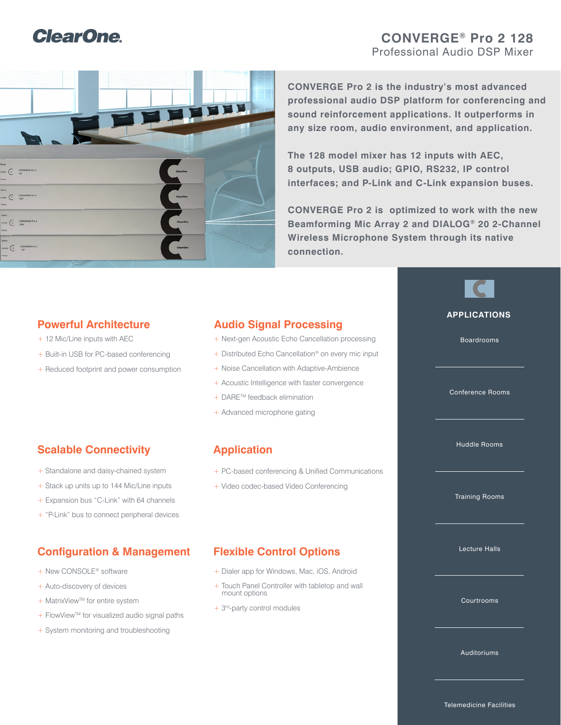## **ClearOne**

## **CONVERGE® Pro 2 128** Professional Audio DSP Mixer



**CONVERGE Pro 2 is the industry's most advanced professional audio DSP platform for conferencing and sound reinforcement applications. It outperforms in any size room, audio environment, and application.** 

**The 128 model mixer has 12 inputs with AEC, 8 outputs, USB audio; GPIO, RS232, IP control interfaces; and P-Link and C-Link expansion buses.**

**CONVERGE Pro 2 is optimized to work with the new Beamforming Mic Array 2 and DIALOG® 20 2-Channel Wireless Microphone System through its native connection.**

## **Powerful Architecture**

- + 12 Mic/Line inputs with AEC
- + Built-in USB for PC-based conferencing
- + Reduced footprint and power consumption

## **Audio Signal Processing**

- + Next-gen Acoustic Echo Cancellation processing
- + Distributed Echo Cancellation<sup>®</sup> on every mic input
- + Noise Cancellation with Adaptive-Ambience
- + Acoustic Intelligence with faster convergence
- + DARE™ feedback elimination
- + Advanced microphone gating

## **Scalable Connectivity**

- + Standalone and daisy-chained system
- + Stack up units up to 144 Mic/Line inputs
- + Expansion bus "C-Link" with 64 channels
- + "P-Link" bus to connect peripheral devices

## **Configuration & Management Flexible Control Options**

- + New CONSOLE<sup>®</sup> software
- + Auto-discovery of devices
- + MatrixView™ for entire system
- + FlowView™ for visualized audio signal paths
- + System monitoring and troubleshooting

## **Application**

- + PC-based conferencing & Unified Communications
- + Video codec-based Video Conferencing

- + Dialer app for Windows, Mac, iOS, Android
- + Touch Panel Controller with tabletop and wall mount options
- + 3rd-party control modules

# **APPLICATIONS**

Boardrooms

Conference Rooms

Huddle Rooms

Training Rooms

Lecture Halls

Courtrooms

Auditoriums

Telemedicine Facilities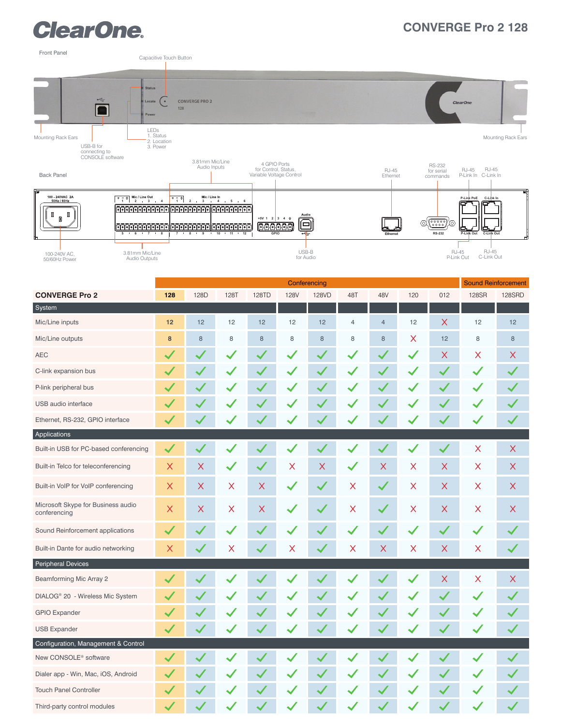## **ClearOne.**

## **CONVERGE Pro 2 128**



|                                                    | Conferencing              |          |          |              |              |          |                      |                      |     | <b>Sound Reinforcement</b> |          |              |
|----------------------------------------------------|---------------------------|----------|----------|--------------|--------------|----------|----------------------|----------------------|-----|----------------------------|----------|--------------|
| <b>CONVERGE Pro 2</b>                              | 128                       | 128D     | 128T     | 128TD        | <b>128V</b>  | 128VD    | 48T                  | 48V                  | 120 | 012                        | 128SR    | 128SRD       |
| System                                             |                           |          |          |              |              |          |                      |                      |     |                            |          |              |
| Mic/Line inputs                                    | $12$                      | 12       | 12       | 12           | 12           | 12       | $\overline{4}$       | $\overline{4}$       | 12  | $\times$                   | 12       | 12           |
| Mic/Line outputs                                   | 8                         | 8        | $\,8\,$  | $\,8\,$      | 8            | $\bf{8}$ | 8                    | $\,8\,$              | X   | 12                         | 8        | 8            |
| <b>AEC</b>                                         |                           |          |          |              |              |          |                      |                      |     | $\times$                   | X        | X            |
| C-link expansion bus                               |                           |          |          |              |              |          |                      |                      |     |                            |          | $\checkmark$ |
| P-link peripheral bus                              |                           |          |          |              |              |          |                      |                      |     |                            |          |              |
| USB audio interface                                |                           |          |          |              |              |          |                      |                      |     |                            |          |              |
| Ethernet, RS-232, GPIO interface                   |                           |          |          |              |              |          |                      |                      |     |                            |          |              |
| Applications                                       |                           |          |          |              |              |          |                      |                      |     |                            |          |              |
| Built-in USB for PC-based conferencing             | $\blacktriangledown$      |          |          |              |              |          |                      | ✓                    |     | $\checkmark$               | X        | X            |
| Built-in Telco for teleconferencing                | $\times$                  | X        |          | $\checkmark$ | X            | X        | $\blacktriangledown$ | $\times$             | X   | X                          | X        | X            |
| Built-in VoIP for VoIP conferencing                | $\boldsymbol{\mathsf{X}}$ | $\times$ | $\times$ | X            | $\checkmark$ |          | X                    | $\blacktriangledown$ | X   | $\times$                   | $\times$ | X            |
| Microsoft Skype for Business audio<br>conferencing | $\times$                  | $\times$ | X        | $\mathsf X$  | $\checkmark$ |          | $\times$             | $\blacktriangledown$ | X   | $\times$                   | X        | X            |
| Sound Reinforcement applications                   | $\checkmark$              |          |          |              |              |          |                      | $\checkmark$         |     |                            |          |              |
| Built-in Dante for audio networking                | X                         |          | Χ        |              | X            |          | X                    | $\times$             | X   | X                          | $\times$ |              |
| Peripheral Devices                                 |                           |          |          |              |              |          |                      |                      |     |                            |          |              |
| <b>Beamforming Mic Array 2</b>                     | $\checkmark$              |          |          |              |              |          |                      |                      |     | $\mathsf X$                | X        | $\mathsf X$  |
| DIALOG <sup>®</sup> 20 - Wireless Mic System       |                           |          |          |              |              |          |                      |                      |     |                            |          |              |
| <b>GPIO Expander</b>                               |                           |          |          |              |              |          |                      |                      |     |                            |          |              |
| <b>USB Expander</b>                                |                           |          |          |              |              |          |                      |                      |     |                            |          |              |
| Configuration, Management & Control                |                           |          |          |              |              |          |                      |                      |     |                            |          |              |
| New CONSOLE <sup>®</sup> software                  |                           |          |          |              |              |          |                      |                      |     |                            |          |              |
| Dialer app - Win, Mac, iOS, Android                |                           |          |          |              |              |          |                      |                      |     |                            |          |              |
| <b>Touch Panel Controller</b>                      |                           |          |          |              |              |          |                      |                      |     |                            |          |              |
| Third-party control modules                        | $\checkmark$              |          |          |              |              |          |                      |                      |     |                            |          | $\checkmark$ |